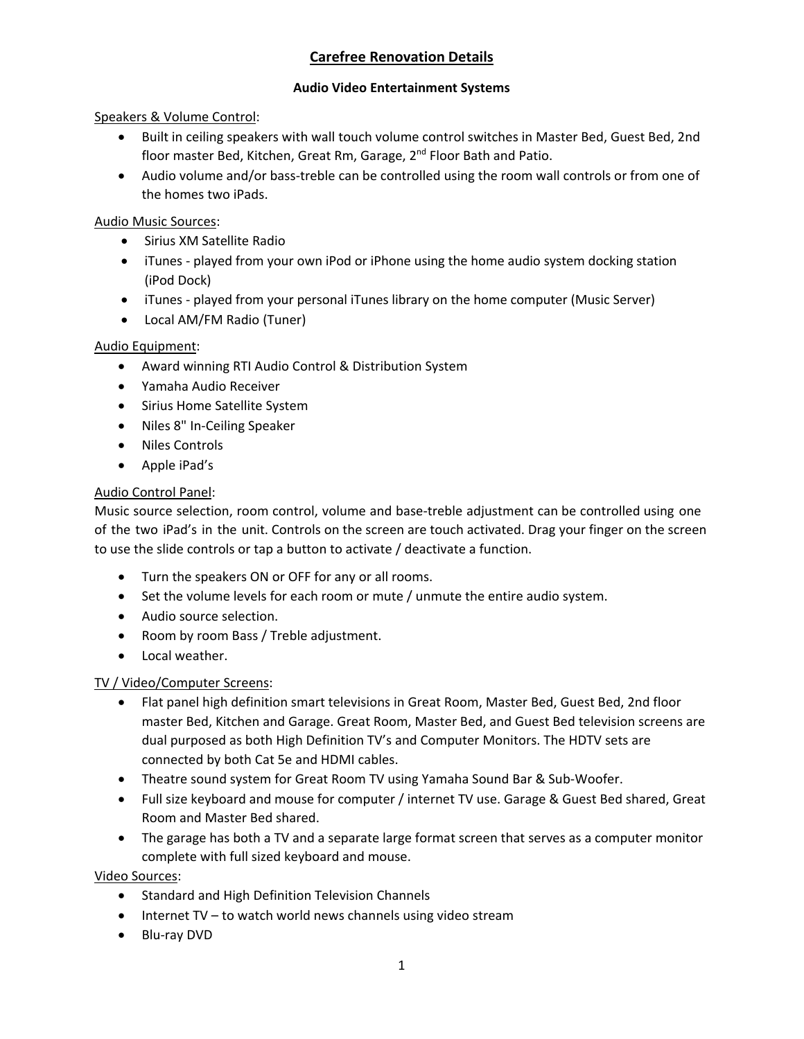# **Carefree Renovation Details**

### **Audio Video Entertainment Systems**

#### Speakers & Volume Control:

- Built in ceiling speakers with wall touch volume control switches in Master Bed, Guest Bed, 2nd floor master Bed, Kitchen, Great Rm, Garage, 2<sup>nd</sup> Floor Bath and Patio.
- Audio volume and/or bass-treble can be controlled using the room wall controls or from one of the homes two iPads.

#### Audio Music Sources:

- Sirius XM Satellite Radio
- iTunes played from your own iPod or iPhone using the home audio system docking station (iPod Dock)
- iTunes played from your personal iTunes library on the home computer (Music Server)
- Local AM/FM Radio (Tuner)

### Audio Equipment:

- Award winning RTI Audio Control & Distribution System
- Yamaha Audio Receiver
- Sirius Home Satellite System
- Niles 8" In-Ceiling Speaker
- Niles Controls
- Apple iPad's

### Audio Control Panel:

Music source selection, room control, volume and base‐treble adjustment can be controlled using one of the two iPad's in the unit. Controls on the screen are touch activated. Drag your finger on the screen to use the slide controls or tap a button to activate / deactivate a function.

- Turn the speakers ON or OFF for any or all rooms.
- Set the volume levels for each room or mute / unmute the entire audio system.
- Audio source selection.
- Room by room Bass / Treble adjustment.
- Local weather.

### TV / Video/Computer Screens:

- Flat panel high definition smart televisions in Great Room, Master Bed, Guest Bed, 2nd floor master Bed, Kitchen and Garage. Great Room, Master Bed, and Guest Bed television screens are dual purposed as both High Definition TV's and Computer Monitors. The HDTV sets are connected by both Cat 5e and HDMI cables.
- Theatre sound system for Great Room TV using Yamaha Sound Bar & Sub-Woofer.
- Full size keyboard and mouse for computer / internet TV use. Garage & Guest Bed shared, Great Room and Master Bed shared.
- The garage has both a TV and a separate large format screen that serves as a computer monitor complete with full sized keyboard and mouse.

Video Sources:

- Standard and High Definition Television Channels
- Internet TV to watch world news channels using video stream
- Blu-ray DVD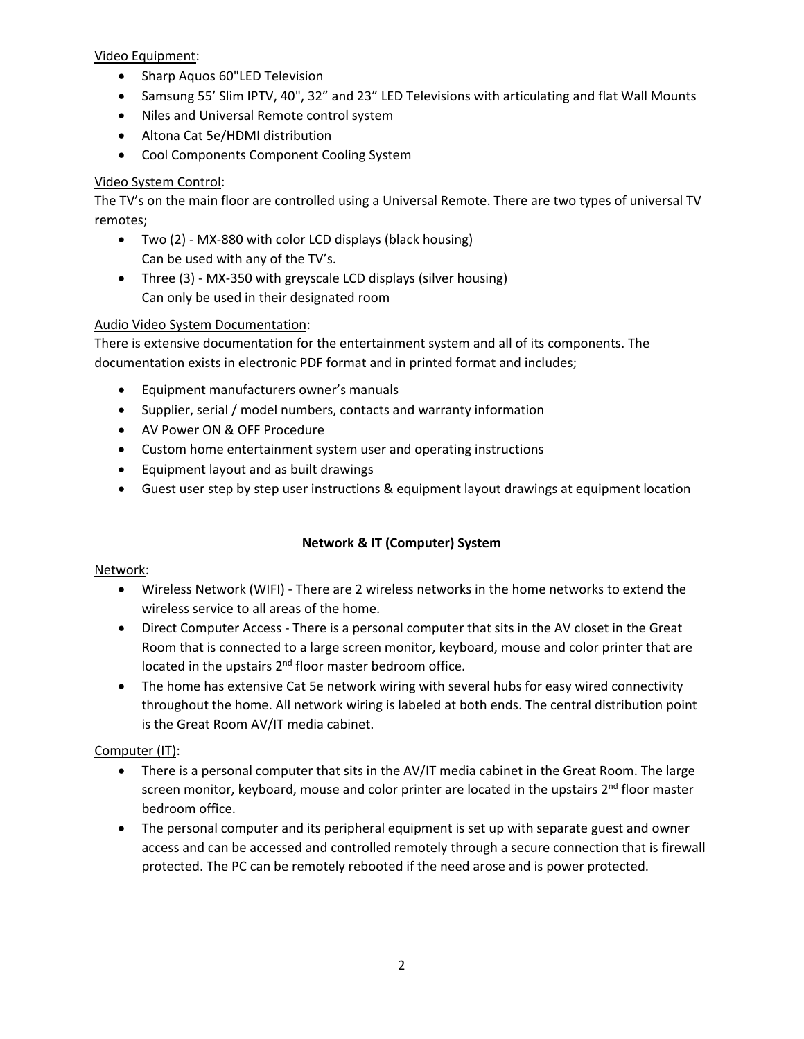Video Equipment:

- Sharp Aquos 60"LED Television
- Samsung 55' Slim IPTV, 40", 32" and 23" LED Televisions with articulating and flat Wall Mounts
- Niles and Universal Remote control system
- Altona Cat 5e/HDMI distribution
- Cool Components Component Cooling System

### Video System Control:

The TV's on the main floor are controlled using a Universal Remote. There are two types of universal TV remotes;

- Two (2) ‐ MX‐880 with color LCD displays (black housing) Can be used with any of the TV's.
- Three (3) MX-350 with greyscale LCD displays (silver housing) Can only be used in their designated room

### Audio Video System Documentation:

There is extensive documentation for the entertainment system and all of its components. The documentation exists in electronic PDF format and in printed format and includes;

- Equipment manufacturers owner's manuals
- Supplier, serial / model numbers, contacts and warranty information
- AV Power ON & OFF Procedure
- Custom home entertainment system user and operating instructions
- Equipment layout and as built drawings
- Guest user step by step user instructions & equipment layout drawings at equipment location

### **Network & IT (Computer) System**

#### Network:

- Wireless Network (WIFI) ‐ There are 2 wireless networks in the home networks to extend the wireless service to all areas of the home.
- Direct Computer Access There is a personal computer that sits in the AV closet in the Great Room that is connected to a large screen monitor, keyboard, mouse and color printer that are located in the upstairs  $2^{nd}$  floor master bedroom office.
- The home has extensive Cat 5e network wiring with several hubs for easy wired connectivity throughout the home. All network wiring is labeled at both ends. The central distribution point is the Great Room AV/IT media cabinet.

### Computer (IT):

- There is a personal computer that sits in the AV/IT media cabinet in the Great Room. The large screen monitor, keyboard, mouse and color printer are located in the upstairs 2<sup>nd</sup> floor master bedroom office.
- The personal computer and its peripheral equipment is set up with separate guest and owner access and can be accessed and controlled remotely through a secure connection that is firewall protected. The PC can be remotely rebooted if the need arose and is power protected.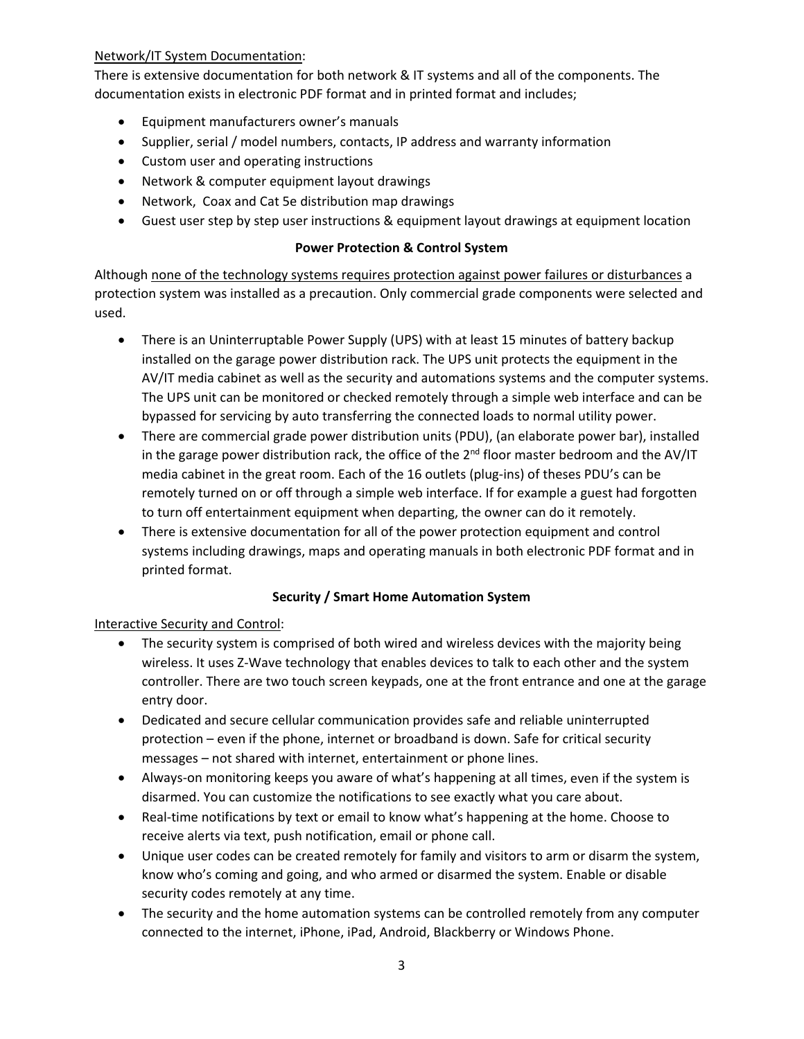### Network/IT System Documentation:

There is extensive documentation for both network & IT systems and all of the components. The documentation exists in electronic PDF format and in printed format and includes;

- Equipment manufacturers owner's manuals
- Supplier, serial / model numbers, contacts, IP address and warranty information
- Custom user and operating instructions
- Network & computer equipment layout drawings
- Network, Coax and Cat 5e distribution map drawings
- Guest user step by step user instructions & equipment layout drawings at equipment location

### **Power Protection & Control System**

Although none of the technology systems requires protection against power failures or disturbances a protection system was installed as a precaution. Only commercial grade components were selected and used.

- There is an Uninterruptable Power Supply (UPS) with at least 15 minutes of battery backup installed on the garage power distribution rack. The UPS unit protects the equipment in the AV/IT media cabinet as well as the security and automations systems and the computer systems. The UPS unit can be monitored or checked remotely through a simple web interface and can be bypassed for servicing by auto transferring the connected loads to normal utility power.
- There are commercial grade power distribution units (PDU), (an elaborate power bar), installed in the garage power distribution rack, the office of the  $2<sup>nd</sup>$  floor master bedroom and the AV/IT media cabinet in the great room. Each of the 16 outlets (plug-ins) of theses PDU's can be remotely turned on or off through a simple web interface. If for example a guest had forgotten to turn off entertainment equipment when departing, the owner can do it remotely.
- There is extensive documentation for all of the power protection equipment and control systems including drawings, maps and operating manuals in both electronic PDF format and in printed format.

### **Security / Smart Home Automation System**

#### Interactive Security and Control:

- The security system is comprised of both wired and wireless devices with the majority being wireless. It uses Z-Wave technology that enables devices to talk to each other and the system controller. There are two touch screen keypads, one at the front entrance and one at the garage entry door.
- Dedicated and secure cellular communication provides safe and reliable uninterrupted protection – even if the phone, internet or broadband is down. Safe for critical security messages – not shared with internet, entertainment or phone lines.
- Always‐on monitoring keeps you aware of what's happening at all times, even if the system is disarmed. You can customize the notifications to see exactly what you care about.
- Real-time notifications by text or email to know what's happening at the home. Choose to receive alerts via text, push notification, email or phone call.
- Unique user codes can be created remotely for family and visitors to arm or disarm the system, know who's coming and going, and who armed or disarmed the system. Enable or disable security codes remotely at any time.
- The security and the home automation systems can be controlled remotely from any computer connected to the internet, iPhone, iPad, Android, Blackberry or Windows Phone.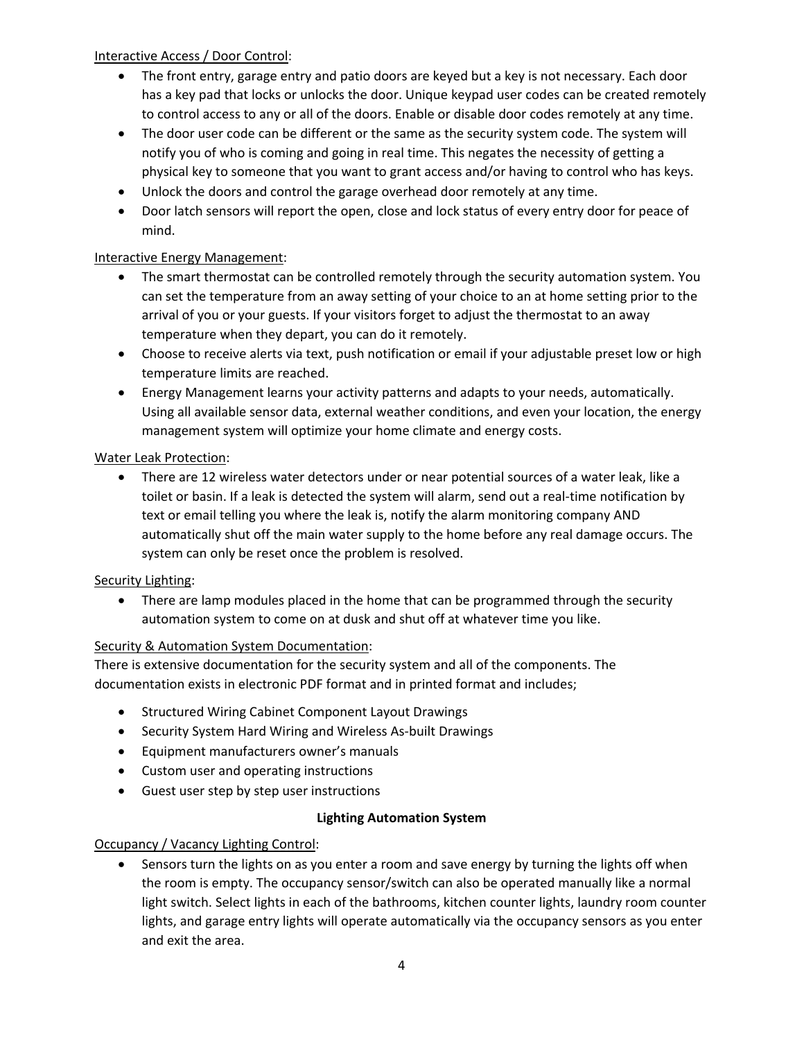### Interactive Access / Door Control:

- The front entry, garage entry and patio doors are keyed but a key is not necessary. Each door has a key pad that locks or unlocks the door. Unique keypad user codes can be created remotely to control access to any or all of the doors. Enable or disable door codes remotely at any time.
- The door user code can be different or the same as the security system code. The system will notify you of who is coming and going in real time. This negates the necessity of getting a physical key to someone that you want to grant access and/or having to control who has keys.
- Unlock the doors and control the garage overhead door remotely at any time.
- Door latch sensors will report the open, close and lock status of every entry door for peace of mind.

### Interactive Energy Management:

- The smart thermostat can be controlled remotely through the security automation system. You can set the temperature from an away setting of your choice to an at home setting prior to the arrival of you or your guests. If your visitors forget to adjust the thermostat to an away temperature when they depart, you can do it remotely.
- Choose to receive alerts via text, push notification or email if your adjustable preset low or high temperature limits are reached.
- Energy Management learns your activity patterns and adapts to your needs, automatically. Using all available sensor data, external weather conditions, and even your location, the energy management system will optimize your home climate and energy costs.

### Water Leak Protection:

 There are 12 wireless water detectors under or near potential sources of a water leak, like a toilet or basin. If a leak is detected the system will alarm, send out a real-time notification by text or email telling you where the leak is, notify the alarm monitoring company AND automatically shut off the main water supply to the home before any real damage occurs. The system can only be reset once the problem is resolved.

### Security Lighting:

• There are lamp modules placed in the home that can be programmed through the security automation system to come on at dusk and shut off at whatever time you like.

## Security & Automation System Documentation:

There is extensive documentation for the security system and all of the components. The documentation exists in electronic PDF format and in printed format and includes;

- **Structured Wiring Cabinet Component Layout Drawings**
- Security System Hard Wiring and Wireless As-built Drawings
- Equipment manufacturers owner's manuals
- Custom user and operating instructions
- Guest user step by step user instructions

### **Lighting Automation System**

### Occupancy / Vacancy Lighting Control:

• Sensors turn the lights on as you enter a room and save energy by turning the lights off when the room is empty. The occupancy sensor/switch can also be operated manually like a normal light switch. Select lights in each of the bathrooms, kitchen counter lights, laundry room counter lights, and garage entry lights will operate automatically via the occupancy sensors as you enter and exit the area.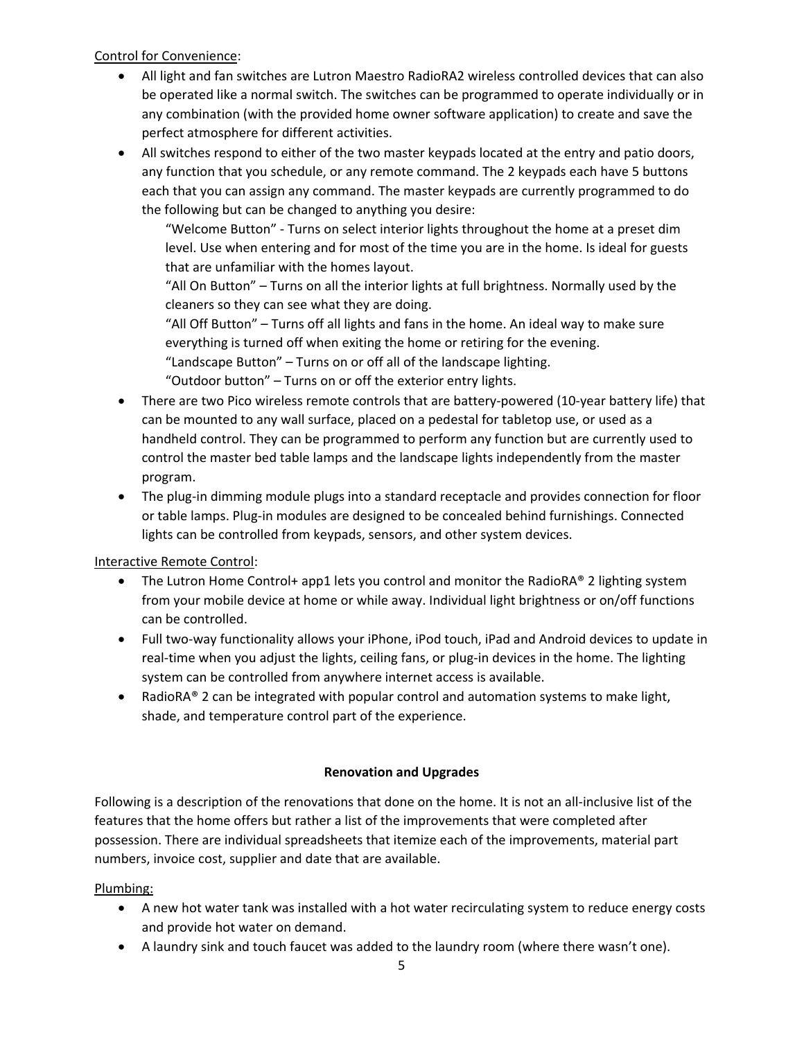### Control for Convenience:

- All light and fan switches are Lutron Maestro RadioRA2 wireless controlled devices that can also be operated like a normal switch. The switches can be programmed to operate individually or in any combination (with the provided home owner software application) to create and save the perfect atmosphere for different activities.
- All switches respond to either of the two master keypads located at the entry and patio doors, any function that you schedule, or any remote command. The 2 keypads each have 5 buttons each that you can assign any command. The master keypads are currently programmed to do the following but can be changed to anything you desire:

"Welcome Button" ‐ Turns on select interior lights throughout the home at a preset dim level. Use when entering and for most of the time you are in the home. Is ideal for guests that are unfamiliar with the homes layout.

"All On Button" – Turns on all the interior lights at full brightness. Normally used by the cleaners so they can see what they are doing.

"All Off Button" – Turns off all lights and fans in the home. An ideal way to make sure everything is turned off when exiting the home or retiring for the evening. "Landscape Button" – Turns on or off all of the landscape lighting.

"Outdoor button" – Turns on or off the exterior entry lights.

- There are two Pico wireless remote controls that are battery-powered (10-year battery life) that can be mounted to any wall surface, placed on a pedestal for tabletop use, or used as a handheld control. They can be programmed to perform any function but are currently used to control the master bed table lamps and the landscape lights independently from the master program.
- The plug-in dimming module plugs into a standard receptacle and provides connection for floor or table lamps. Plug‐in modules are designed to be concealed behind furnishings. Connected lights can be controlled from keypads, sensors, and other system devices.

### Interactive Remote Control:

- The Lutron Home Control+ app1 lets you control and monitor the RadioRA® 2 lighting system from your mobile device at home or while away. Individual light brightness or on/off functions can be controlled.
- Full two-way functionality allows your iPhone, iPod touch, iPad and Android devices to update in real-time when you adjust the lights, ceiling fans, or plug-in devices in the home. The lighting system can be controlled from anywhere internet access is available.
- RadioRA® 2 can be integrated with popular control and automation systems to make light, shade, and temperature control part of the experience.

### **Renovation and Upgrades**

Following is a description of the renovations that done on the home. It is not an all-inclusive list of the features that the home offers but rather a list of the improvements that were completed after possession. There are individual spreadsheets that itemize each of the improvements, material part numbers, invoice cost, supplier and date that are available.

### Plumbing:

- A new hot water tank was installed with a hot water recirculating system to reduce energy costs and provide hot water on demand.
- A laundry sink and touch faucet was added to the laundry room (where there wasn't one).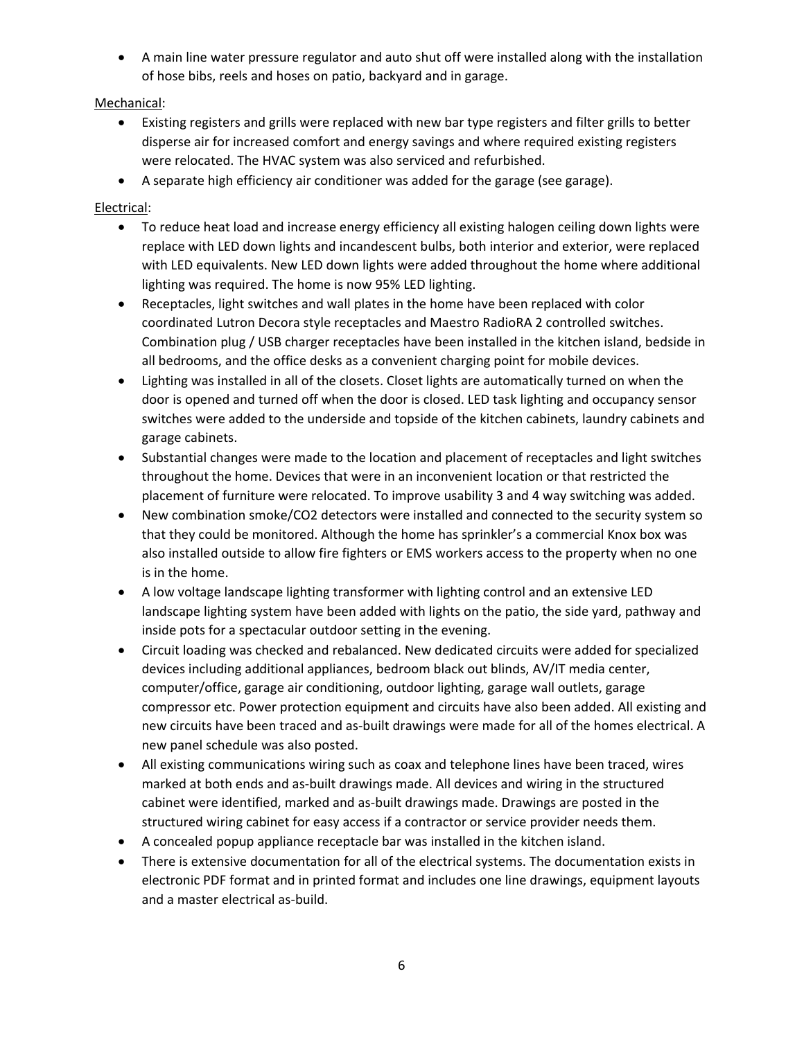A main line water pressure regulator and auto shut off were installed along with the installation of hose bibs, reels and hoses on patio, backyard and in garage.

## Mechanical:

- Existing registers and grills were replaced with new bar type registers and filter grills to better disperse air for increased comfort and energy savings and where required existing registers were relocated. The HVAC system was also serviced and refurbished.
- A separate high efficiency air conditioner was added for the garage (see garage).

## Electrical:

- To reduce heat load and increase energy efficiency all existing halogen ceiling down lights were replace with LED down lights and incandescent bulbs, both interior and exterior, were replaced with LED equivalents. New LED down lights were added throughout the home where additional lighting was required. The home is now 95% LED lighting.
- Receptacles, light switches and wall plates in the home have been replaced with color coordinated Lutron Decora style receptacles and Maestro RadioRA 2 controlled switches. Combination plug / USB charger receptacles have been installed in the kitchen island, bedside in all bedrooms, and the office desks as a convenient charging point for mobile devices.
- Lighting was installed in all of the closets. Closet lights are automatically turned on when the door is opened and turned off when the door is closed. LED task lighting and occupancy sensor switches were added to the underside and topside of the kitchen cabinets, laundry cabinets and garage cabinets.
- Substantial changes were made to the location and placement of receptacles and light switches throughout the home. Devices that were in an inconvenient location or that restricted the placement of furniture were relocated. To improve usability 3 and 4 way switching was added.
- New combination smoke/CO2 detectors were installed and connected to the security system so that they could be monitored. Although the home has sprinkler's a commercial Knox box was also installed outside to allow fire fighters or EMS workers access to the property when no one is in the home.
- A low voltage landscape lighting transformer with lighting control and an extensive LED landscape lighting system have been added with lights on the patio, the side yard, pathway and inside pots for a spectacular outdoor setting in the evening.
- Circuit loading was checked and rebalanced. New dedicated circuits were added for specialized devices including additional appliances, bedroom black out blinds, AV/IT media center, computer/office, garage air conditioning, outdoor lighting, garage wall outlets, garage compressor etc. Power protection equipment and circuits have also been added. All existing and new circuits have been traced and as‐built drawings were made for all of the homes electrical. A new panel schedule was also posted.
- All existing communications wiring such as coax and telephone lines have been traced, wires marked at both ends and as‐built drawings made. All devices and wiring in the structured cabinet were identified, marked and as‐built drawings made. Drawings are posted in the structured wiring cabinet for easy access if a contractor or service provider needs them.
- A concealed popup appliance receptacle bar was installed in the kitchen island.
- There is extensive documentation for all of the electrical systems. The documentation exists in electronic PDF format and in printed format and includes one line drawings, equipment layouts and a master electrical as‐build.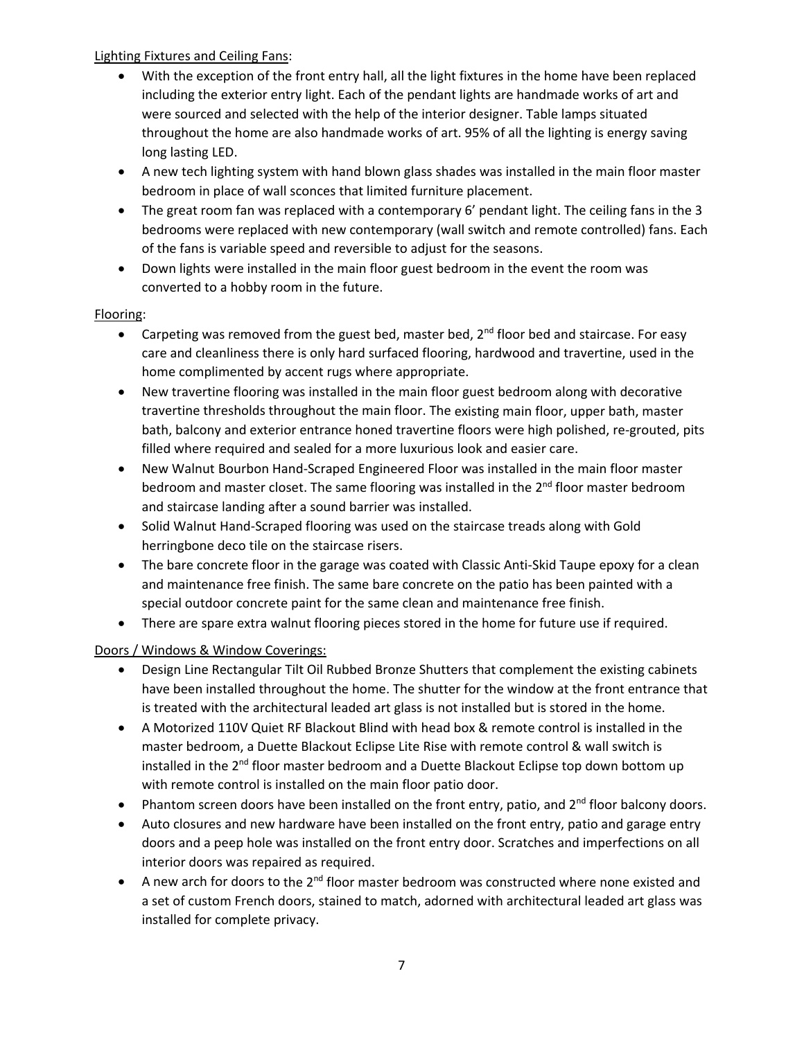### Lighting Fixtures and Ceiling Fans:

- With the exception of the front entry hall, all the light fixtures in the home have been replaced including the exterior entry light. Each of the pendant lights are handmade works of art and were sourced and selected with the help of the interior designer. Table lamps situated throughout the home are also handmade works of art. 95% of all the lighting is energy saving long lasting LED.
- A new tech lighting system with hand blown glass shades was installed in the main floor master bedroom in place of wall sconces that limited furniture placement.
- The great room fan was replaced with a contemporary 6' pendant light. The ceiling fans in the 3 bedrooms were replaced with new contemporary (wall switch and remote controlled) fans. Each of the fans is variable speed and reversible to adjust for the seasons.
- Down lights were installed in the main floor guest bedroom in the event the room was converted to a hobby room in the future.

### Flooring:

- **•** Carpeting was removed from the guest bed, master bed,  $2^{nd}$  floor bed and staircase. For easy care and cleanliness there is only hard surfaced flooring, hardwood and travertine, used in the home complimented by accent rugs where appropriate.
- New travertine flooring was installed in the main floor guest bedroom along with decorative travertine thresholds throughout the main floor. The existing main floor, upper bath, master bath, balcony and exterior entrance honed travertine floors were high polished, re‐grouted, pits filled where required and sealed for a more luxurious look and easier care.
- New Walnut Bourbon Hand-Scraped Engineered Floor was installed in the main floor master bedroom and master closet. The same flooring was installed in the 2<sup>nd</sup> floor master bedroom and staircase landing after a sound barrier was installed.
- Solid Walnut Hand-Scraped flooring was used on the staircase treads along with Gold herringbone deco tile on the staircase risers.
- The bare concrete floor in the garage was coated with Classic Anti-Skid Taupe epoxy for a clean and maintenance free finish. The same bare concrete on the patio has been painted with a special outdoor concrete paint for the same clean and maintenance free finish.
- There are spare extra walnut flooring pieces stored in the home for future use if required.

## Doors / Windows & Window Coverings:

- Design Line Rectangular Tilt Oil Rubbed Bronze Shutters that complement the existing cabinets have been installed throughout the home. The shutter for the window at the front entrance that is treated with the architectural leaded art glass is not installed but is stored in the home.
- A Motorized 110V Quiet RF Blackout Blind with head box & remote control is installed in the master bedroom, a Duette Blackout Eclipse Lite Rise with remote control & wall switch is installed in the 2<sup>nd</sup> floor master bedroom and a Duette Blackout Eclipse top down bottom up with remote control is installed on the main floor patio door.
- Phantom screen doors have been installed on the front entry, patio, and  $2^{nd}$  floor balcony doors.
- Auto closures and new hardware have been installed on the front entry, patio and garage entry doors and a peep hole was installed on the front entry door. Scratches and imperfections on all interior doors was repaired as required.
- A new arch for doors to the  $2^{nd}$  floor master bedroom was constructed where none existed and a set of custom French doors, stained to match, adorned with architectural leaded art glass was installed for complete privacy.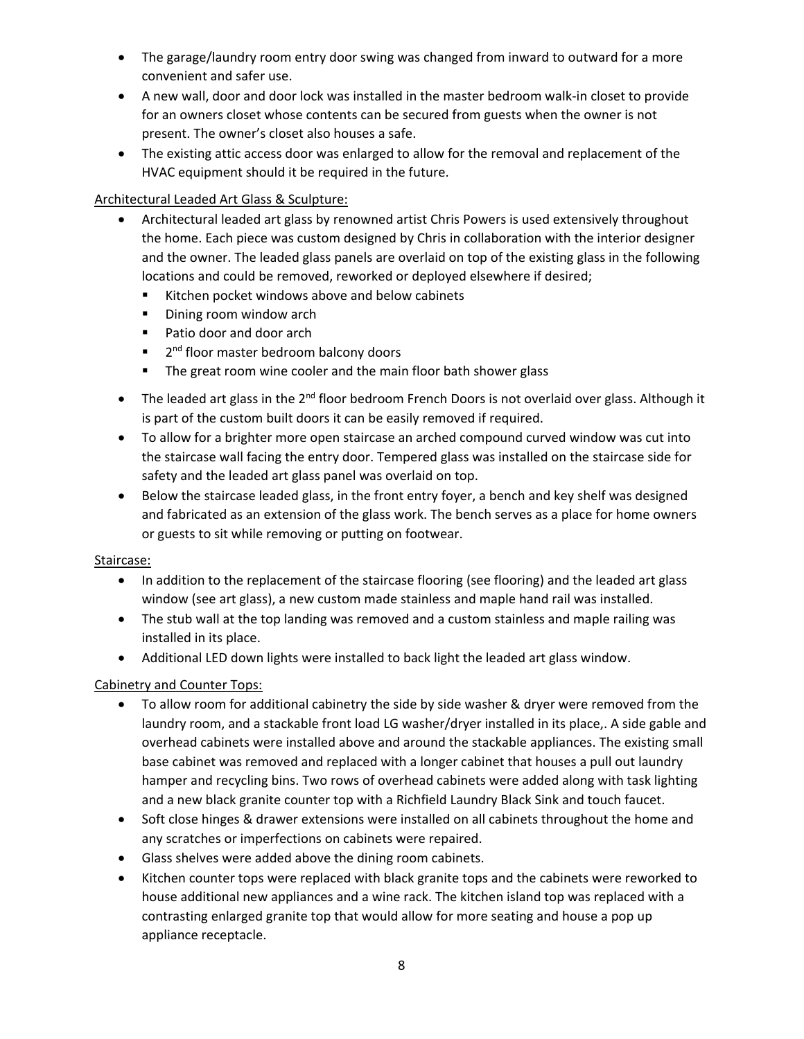- The garage/laundry room entry door swing was changed from inward to outward for a more convenient and safer use.
- A new wall, door and door lock was installed in the master bedroom walk-in closet to provide for an owners closet whose contents can be secured from guests when the owner is not present. The owner's closet also houses a safe.
- The existing attic access door was enlarged to allow for the removal and replacement of the HVAC equipment should it be required in the future.

### Architectural Leaded Art Glass & Sculpture:

- Architectural leaded art glass by renowned artist Chris Powers is used extensively throughout the home. Each piece was custom designed by Chris in collaboration with the interior designer and the owner. The leaded glass panels are overlaid on top of the existing glass in the following locations and could be removed, reworked or deployed elsewhere if desired;
	- Kitchen pocket windows above and below cabinets
	- Dining room window arch
	- Patio door and door arch
	- $\blacksquare$  2<sup>nd</sup> floor master bedroom balcony doors
	- **The great room wine cooler and the main floor bath shower glass**
- $\bullet$  The leaded art glass in the 2<sup>nd</sup> floor bedroom French Doors is not overlaid over glass. Although it is part of the custom built doors it can be easily removed if required.
- To allow for a brighter more open staircase an arched compound curved window was cut into the staircase wall facing the entry door. Tempered glass was installed on the staircase side for safety and the leaded art glass panel was overlaid on top.
- Below the staircase leaded glass, in the front entry foyer, a bench and key shelf was designed and fabricated as an extension of the glass work. The bench serves as a place for home owners or guests to sit while removing or putting on footwear.

### Staircase:

- In addition to the replacement of the staircase flooring (see flooring) and the leaded art glass window (see art glass), a new custom made stainless and maple hand rail was installed.
- The stub wall at the top landing was removed and a custom stainless and maple railing was installed in its place.
- Additional LED down lights were installed to back light the leaded art glass window.

### Cabinetry and Counter Tops:

- To allow room for additional cabinetry the side by side washer & dryer were removed from the laundry room, and a stackable front load LG washer/dryer installed in its place,. A side gable and overhead cabinets were installed above and around the stackable appliances. The existing small base cabinet was removed and replaced with a longer cabinet that houses a pull out laundry hamper and recycling bins. Two rows of overhead cabinets were added along with task lighting and a new black granite counter top with a Richfield Laundry Black Sink and touch faucet.
- Soft close hinges & drawer extensions were installed on all cabinets throughout the home and any scratches or imperfections on cabinets were repaired.
- Glass shelves were added above the dining room cabinets.
- Kitchen counter tops were replaced with black granite tops and the cabinets were reworked to house additional new appliances and a wine rack. The kitchen island top was replaced with a contrasting enlarged granite top that would allow for more seating and house a pop up appliance receptacle.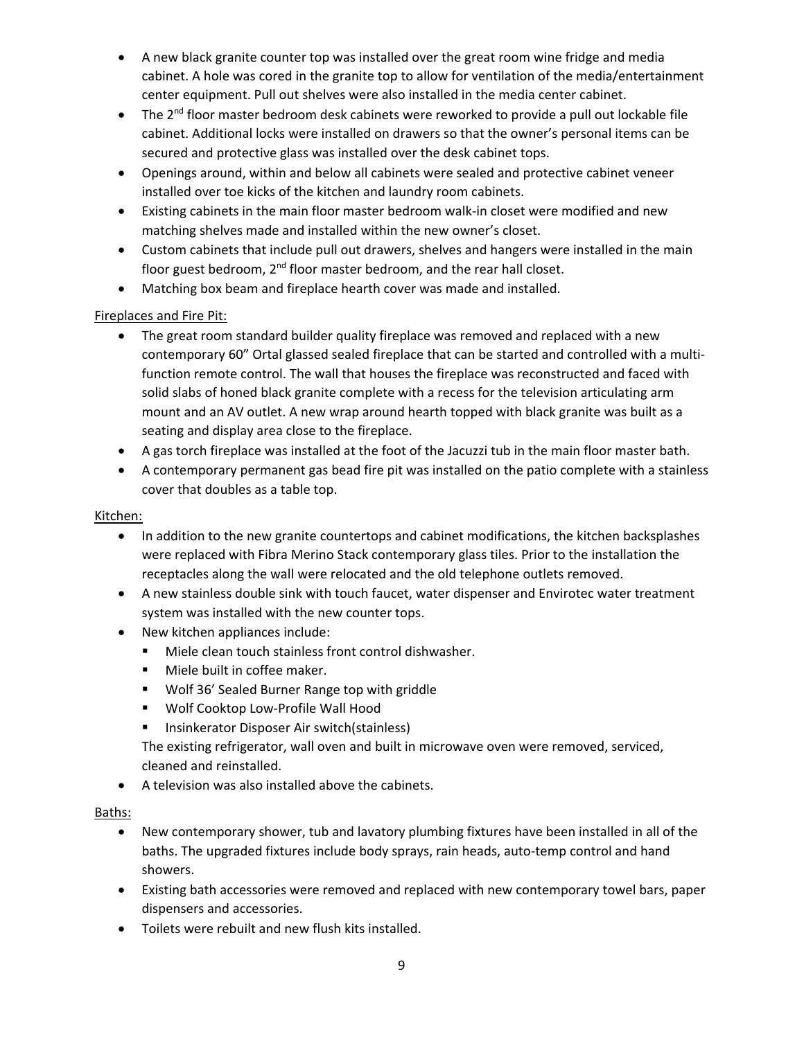- A new black granite counter top was installed over the great room wine fridge and media cabinet. A hole was cored in the granite top to allow for ventilation of the media/entertainment center equipment. Pull out shelves were also installed in the media center cabinet.
- The 2<sup>nd</sup> floor master bedroom desk cabinets were reworked to provide a pull out lockable file cabinet. Additional locks were installed on drawers so that the owner's personal items can be secured and protective glass was installed over the desk cabinet tops.
- Openings around, within and below all cabinets were sealed and protective cabinet veneer installed over toe kicks of the kitchen and laundry room cabinets.
- Existing cabinets in the main floor master bedroom walk-in closet were modified and new matching shelves made and installed within the new owner's closet.
- Custom cabinets that include pull out drawers, shelves and hangers were installed in the main floor guest bedroom, 2<sup>nd</sup> floor master bedroom, and the rear hall closet.
- Matching box beam and fireplace hearth cover was made and installed.

# Fireplaces and Fire Pit:

- The great room standard builder quality fireplace was removed and replaced with a new contemporary 60" Ortal glassed sealed fireplace that can be started and controlled with a multi‐ function remote control. The wall that houses the fireplace was reconstructed and faced with solid slabs of honed black granite complete with a recess for the television articulating arm mount and an AV outlet. A new wrap around hearth topped with black granite was built as a seating and display area close to the fireplace.
- A gas torch fireplace was installed at the foot of the Jacuzzi tub in the main floor master bath.
- A contemporary permanent gas bead fire pit was installed on the patio complete with a stainless cover that doubles as a table top.

## Kitchen:

- In addition to the new granite countertops and cabinet modifications, the kitchen backsplashes were replaced with Fibra Merino Stack contemporary glass tiles. Prior to the installation the receptacles along the wall were relocated and the old telephone outlets removed.
- A new stainless double sink with touch faucet, water dispenser and Envirotec water treatment system was installed with the new counter tops.
- New kitchen appliances include:
	- Miele clean touch stainless front control dishwasher.
	- **Miele built in coffee maker.**
	- Wolf 36' Sealed Burner Range top with griddle
	- Wolf Cooktop Low-Profile Wall Hood
	- **Insinkerator Disposer Air switch(stainless)**

The existing refrigerator, wall oven and built in microwave oven were removed, serviced, cleaned and reinstalled.

A television was also installed above the cabinets.

## Baths:

- New contemporary shower, tub and lavatory plumbing fixtures have been installed in all of the baths. The upgraded fixtures include body sprays, rain heads, auto‐temp control and hand showers.
- Existing bath accessories were removed and replaced with new contemporary towel bars, paper dispensers and accessories.
- Toilets were rebuilt and new flush kits installed.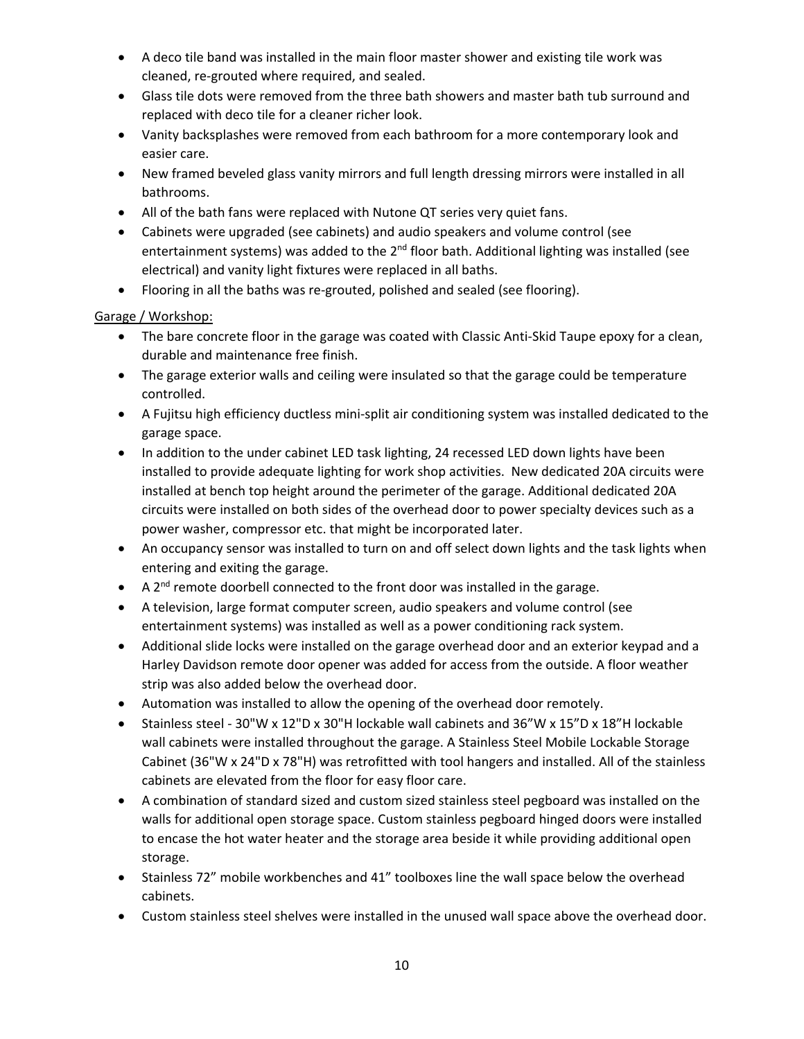- A deco tile band was installed in the main floor master shower and existing tile work was cleaned, re‐grouted where required, and sealed.
- Glass tile dots were removed from the three bath showers and master bath tub surround and replaced with deco tile for a cleaner richer look.
- Vanity backsplashes were removed from each bathroom for a more contemporary look and easier care.
- New framed beveled glass vanity mirrors and full length dressing mirrors were installed in all bathrooms.
- All of the bath fans were replaced with Nutone QT series very quiet fans.
- Cabinets were upgraded (see cabinets) and audio speakers and volume control (see entertainment systems) was added to the 2<sup>nd</sup> floor bath. Additional lighting was installed (see electrical) and vanity light fixtures were replaced in all baths.
- Flooring in all the baths was re‐grouted, polished and sealed (see flooring).

### Garage / Workshop:

- The bare concrete floor in the garage was coated with Classic Anti-Skid Taupe epoxy for a clean, durable and maintenance free finish.
- The garage exterior walls and ceiling were insulated so that the garage could be temperature controlled.
- A Fujitsu high efficiency ductless mini‐split air conditioning system was installed dedicated to the garage space.
- In addition to the under cabinet LED task lighting, 24 recessed LED down lights have been installed to provide adequate lighting for work shop activities. New dedicated 20A circuits were installed at bench top height around the perimeter of the garage. Additional dedicated 20A circuits were installed on both sides of the overhead door to power specialty devices such as a power washer, compressor etc. that might be incorporated later.
- An occupancy sensor was installed to turn on and off select down lights and the task lights when entering and exiting the garage.
- $\bullet$  A 2<sup>nd</sup> remote doorbell connected to the front door was installed in the garage.
- A television, large format computer screen, audio speakers and volume control (see entertainment systems) was installed as well as a power conditioning rack system.
- Additional slide locks were installed on the garage overhead door and an exterior keypad and a Harley Davidson remote door opener was added for access from the outside. A floor weather strip was also added below the overhead door.
- Automation was installed to allow the opening of the overhead door remotely.
- Stainless steel ‐ 30"W x 12"D x 30"H lockable wall cabinets and 36"W x 15"D x 18"H lockable wall cabinets were installed throughout the garage. A Stainless Steel Mobile Lockable Storage Cabinet (36"W x 24"D x 78"H) was retrofitted with tool hangers and installed. All of the stainless cabinets are elevated from the floor for easy floor care.
- A combination of standard sized and custom sized stainless steel pegboard was installed on the walls for additional open storage space. Custom stainless pegboard hinged doors were installed to encase the hot water heater and the storage area beside it while providing additional open storage.
- Stainless 72" mobile workbenches and 41" toolboxes line the wall space below the overhead cabinets.
- Custom stainless steel shelves were installed in the unused wall space above the overhead door.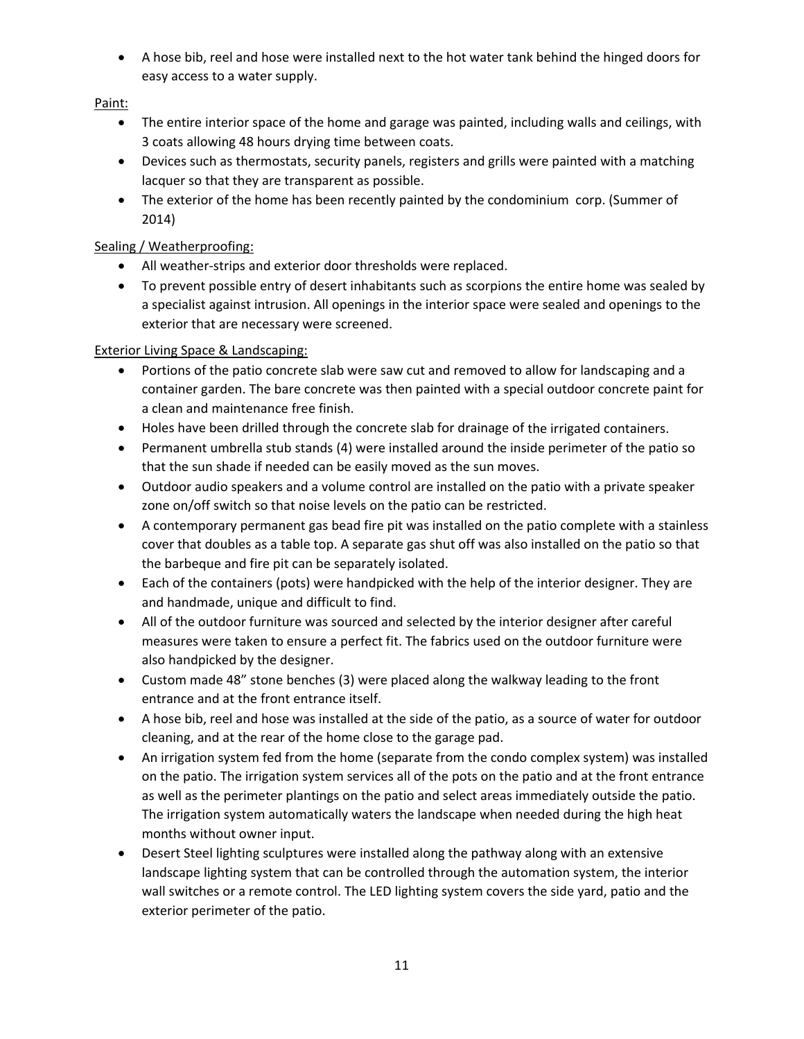A hose bib, reel and hose were installed next to the hot water tank behind the hinged doors for easy access to a water supply.

Paint:

- The entire interior space of the home and garage was painted, including walls and ceilings, with 3 coats allowing 48 hours drying time between coats.
- Devices such as thermostats, security panels, registers and grills were painted with a matching lacquer so that they are transparent as possible.
- The exterior of the home has been recently painted by the condominium corp. (Summer of 2014)

# Sealing / Weatherproofing:

- All weather‐strips and exterior door thresholds were replaced.
- To prevent possible entry of desert inhabitants such as scorpions the entire home was sealed by a specialist against intrusion. All openings in the interior space were sealed and openings to the exterior that are necessary were screened.

# Exterior Living Space & Landscaping:

- Portions of the patio concrete slab were saw cut and removed to allow for landscaping and a container garden. The bare concrete was then painted with a special outdoor concrete paint for a clean and maintenance free finish.
- Holes have been drilled through the concrete slab for drainage of the irrigated containers.
- Permanent umbrella stub stands (4) were installed around the inside perimeter of the patio so that the sun shade if needed can be easily moved as the sun moves.
- Outdoor audio speakers and a volume control are installed on the patio with a private speaker zone on/off switch so that noise levels on the patio can be restricted.
- A contemporary permanent gas bead fire pit was installed on the patio complete with a stainless cover that doubles as a table top. A separate gas shut off was also installed on the patio so that the barbeque and fire pit can be separately isolated.
- Each of the containers (pots) were handpicked with the help of the interior designer. They are and handmade, unique and difficult to find.
- All of the outdoor furniture was sourced and selected by the interior designer after careful measures were taken to ensure a perfect fit. The fabrics used on the outdoor furniture were also handpicked by the designer.
- Custom made 48" stone benches (3) were placed along the walkway leading to the front entrance and at the front entrance itself.
- A hose bib, reel and hose was installed at the side of the patio, as a source of water for outdoor cleaning, and at the rear of the home close to the garage pad.
- An irrigation system fed from the home (separate from the condo complex system) was installed on the patio. The irrigation system services all of the pots on the patio and at the front entrance as well as the perimeter plantings on the patio and select areas immediately outside the patio. The irrigation system automatically waters the landscape when needed during the high heat months without owner input.
- Desert Steel lighting sculptures were installed along the pathway along with an extensive landscape lighting system that can be controlled through the automation system, the interior wall switches or a remote control. The LED lighting system covers the side yard, patio and the exterior perimeter of the patio.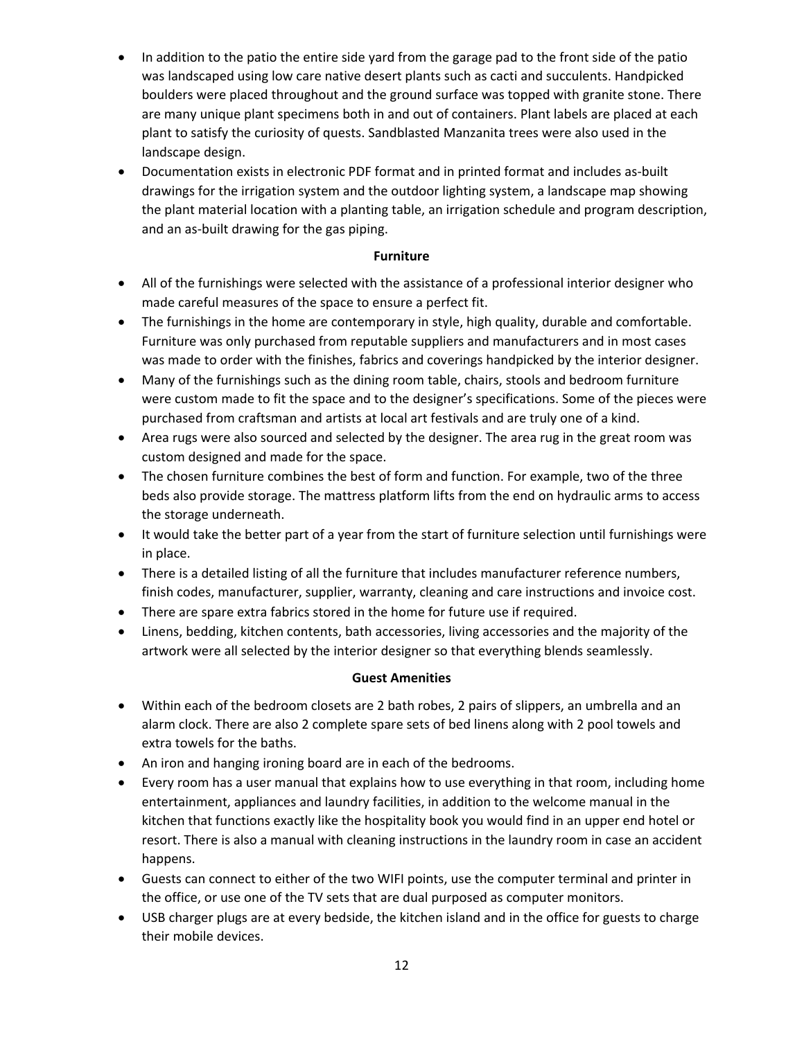- In addition to the patio the entire side yard from the garage pad to the front side of the patio was landscaped using low care native desert plants such as cacti and succulents. Handpicked boulders were placed throughout and the ground surface was topped with granite stone. There are many unique plant specimens both in and out of containers. Plant labels are placed at each plant to satisfy the curiosity of quests. Sandblasted Manzanita trees were also used in the landscape design.
- Documentation exists in electronic PDF format and in printed format and includes as-built drawings for the irrigation system and the outdoor lighting system, a landscape map showing the plant material location with a planting table, an irrigation schedule and program description, and an as‐built drawing for the gas piping.

#### **Furniture**

- All of the furnishings were selected with the assistance of a professional interior designer who made careful measures of the space to ensure a perfect fit.
- The furnishings in the home are contemporary in style, high quality, durable and comfortable. Furniture was only purchased from reputable suppliers and manufacturers and in most cases was made to order with the finishes, fabrics and coverings handpicked by the interior designer.
- Many of the furnishings such as the dining room table, chairs, stools and bedroom furniture were custom made to fit the space and to the designer's specifications. Some of the pieces were purchased from craftsman and artists at local art festivals and are truly one of a kind.
- Area rugs were also sourced and selected by the designer. The area rug in the great room was custom designed and made for the space.
- The chosen furniture combines the best of form and function. For example, two of the three beds also provide storage. The mattress platform lifts from the end on hydraulic arms to access the storage underneath.
- It would take the better part of a year from the start of furniture selection until furnishings were in place.
- There is a detailed listing of all the furniture that includes manufacturer reference numbers, finish codes, manufacturer, supplier, warranty, cleaning and care instructions and invoice cost.
- There are spare extra fabrics stored in the home for future use if required.
- Linens, bedding, kitchen contents, bath accessories, living accessories and the majority of the artwork were all selected by the interior designer so that everything blends seamlessly.

### **Guest Amenities**

- Within each of the bedroom closets are 2 bath robes, 2 pairs of slippers, an umbrella and an alarm clock. There are also 2 complete spare sets of bed linens along with 2 pool towels and extra towels for the baths.
- An iron and hanging ironing board are in each of the bedrooms.
- Every room has a user manual that explains how to use everything in that room, including home entertainment, appliances and laundry facilities, in addition to the welcome manual in the kitchen that functions exactly like the hospitality book you would find in an upper end hotel or resort. There is also a manual with cleaning instructions in the laundry room in case an accident happens.
- Guests can connect to either of the two WIFI points, use the computer terminal and printer in the office, or use one of the TV sets that are dual purposed as computer monitors.
- USB charger plugs are at every bedside, the kitchen island and in the office for guests to charge their mobile devices.